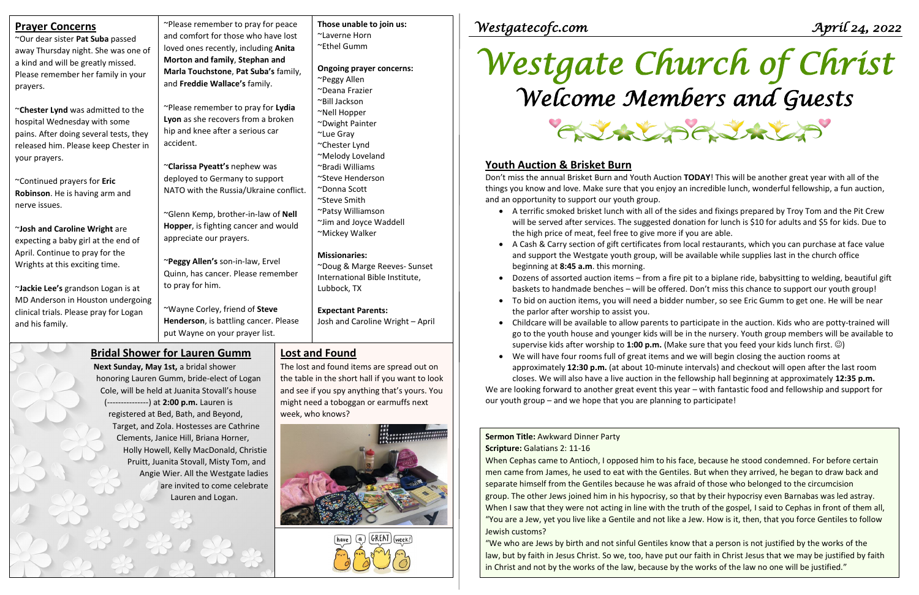# *Westgate Church of Christ Welcome Members and Guests* CAVALAS

"We who are Jews by birth and not sinful Gentiles know that a person is not justified by the works of the law, but by faith in Jesus Christ. So we, too, have put our faith in Christ Jesus that we may be justified by faith in Christ and not by the works of the law, because by the works of the law no one will be justified."

## **Sermon Title:** Awkward Dinner Party

### **Scripture:** Galatians 2: 11-16

When Cephas came to Antioch, I opposed him to his face, because he stood condemned. For before certain men came from James, he used to eat with the Gentiles. But when they arrived, he began to draw back and separate himself from the Gentiles because he was afraid of those who belonged to the circumcision group. The other Jews joined him in his hypocrisy, so that by their hypocrisy even Barnabas was led astray. When I saw that they were not acting in line with the truth of the gospel, I said to Cephas in front of them all, "You are a Jew, yet you live like a Gentile and not like a Jew. How is it, then, that you force Gentiles to follow Jewish customs?

| <b>Prayer Concerns</b>                                                                                                                                               | ~Please remember to pray for peace<br>and comfort for those who have lost                                 | Those unable to join us:<br>~Laverne Horn                                              | Westgatecofc.com                                                                                                                                                                                                                                                                                                                                                          | Apríl 24, 2022                                                                                                                                                                                                                                                                                                               |
|----------------------------------------------------------------------------------------------------------------------------------------------------------------------|-----------------------------------------------------------------------------------------------------------|----------------------------------------------------------------------------------------|---------------------------------------------------------------------------------------------------------------------------------------------------------------------------------------------------------------------------------------------------------------------------------------------------------------------------------------------------------------------------|------------------------------------------------------------------------------------------------------------------------------------------------------------------------------------------------------------------------------------------------------------------------------------------------------------------------------|
| ~Our dear sister Pat Suba passed                                                                                                                                     | loved ones recently, including Anita                                                                      | ~Ethel Gumm                                                                            |                                                                                                                                                                                                                                                                                                                                                                           |                                                                                                                                                                                                                                                                                                                              |
| away Thursday night. She was one of<br>a kind and will be greatly missed.<br>Please remember her family in your<br>prayers.                                          | Morton and family, Stephan and<br>Marla Touchstone, Pat Suba's family,<br>and Freddie Wallace's family.   | <b>Ongoing prayer concerns:</b><br>~Peggy Allen<br>~Deana Frazier                      |                                                                                                                                                                                                                                                                                                                                                                           | Westgate Church of Christ<br>Welcome Members and Guests                                                                                                                                                                                                                                                                      |
|                                                                                                                                                                      | ~Please remember to pray for Lydia                                                                        | ~Bill Jackson                                                                          |                                                                                                                                                                                                                                                                                                                                                                           |                                                                                                                                                                                                                                                                                                                              |
| ~Chester Lynd was admitted to the<br>hospital Wednesday with some<br>pains. After doing several tests, they<br>released him. Please keep Chester in<br>your prayers. | Lyon as she recovers from a broken<br>hip and knee after a serious car<br>accident.                       | ~Nell Hopper<br>~Dwight Painter<br>~Lue Gray<br>~Chester Lynd<br>~Melody Loveland      |                                                                                                                                                                                                                                                                                                                                                                           | CURLSCURLS                                                                                                                                                                                                                                                                                                                   |
|                                                                                                                                                                      | ~Clarissa Pyeatt's nephew was                                                                             | ~Bradi Williams                                                                        | <b>Youth Auction &amp; Brisket Burn</b>                                                                                                                                                                                                                                                                                                                                   |                                                                                                                                                                                                                                                                                                                              |
| ~Continued prayers for Eric                                                                                                                                          | ~Steve Henderson<br>deployed to Germany to support                                                        |                                                                                        | Don't miss the annual Brisket Burn and Youth Auction TODAY! This will be another great year with all of the                                                                                                                                                                                                                                                               |                                                                                                                                                                                                                                                                                                                              |
| Robinson. He is having arm and                                                                                                                                       | NATO with the Russia/Ukraine conflict.                                                                    | ~Donna Scott                                                                           |                                                                                                                                                                                                                                                                                                                                                                           | things you know and love. Make sure that you enjoy an incredible lunch, wonderful fellowship, a fun auction,                                                                                                                                                                                                                 |
| nerve issues.<br>~Josh and Caroline Wright are                                                                                                                       | ~Glenn Kemp, brother-in-law of Nell<br>Hopper, is fighting cancer and would                               | ~Steve Smith<br>~Patsy Williamson<br>~Jim and Joyce Waddell                            | and an opportunity to support our youth group.<br>• A terrific smoked brisket lunch with all of the sides and fixings prepared by Troy Tom and the Pit Crew<br>will be served after services. The suggested donation for lunch is \$10 for adults and \$5 for kids. Due to                                                                                                |                                                                                                                                                                                                                                                                                                                              |
| expecting a baby girl at the end of                                                                                                                                  | appreciate our prayers.                                                                                   | ~Mickey Walker                                                                         | the high price of meat, feel free to give more if you are able.                                                                                                                                                                                                                                                                                                           |                                                                                                                                                                                                                                                                                                                              |
| April. Continue to pray for the<br>Wrights at this exciting time.                                                                                                    | ~Peggy Allen's son-in-law, Ervel<br>Quinn, has cancer. Please remember                                    | <b>Missionaries:</b><br>~Doug & Marge Reeves- Sunset<br>International Bible Institute, | beginning at 8:45 a.m. this morning.                                                                                                                                                                                                                                                                                                                                      | A Cash & Carry section of gift certificates from local restaurants, which you can purchase at face value<br>and support the Westgate youth group, will be available while supplies last in the church office<br>Dozens of assorted auction items - from a fire pit to a biplane ride, babysitting to welding, beautiful gift |
| ~Jackie Lee's grandson Logan is at                                                                                                                                   | to pray for him.                                                                                          | Lubbock, TX                                                                            |                                                                                                                                                                                                                                                                                                                                                                           | baskets to handmade benches - will be offered. Don't miss this chance to support our youth group!                                                                                                                                                                                                                            |
| MD Anderson in Houston undergoing<br>clinical trials. Please pray for Logan<br>and his family.                                                                       | ~Wayne Corley, friend of Steve<br>Henderson, is battling cancer. Please<br>put Wayne on your prayer list. | <b>Expectant Parents:</b><br>Josh and Caroline Wright - April                          | To bid on auction items, you will need a bidder number, so see Eric Gumm to get one. He will be near<br>the parlor after worship to assist you.<br>Childcare will be available to allow parents to participate in the auction. Kids who are potty-trained will<br>go to the youth house and younger kids will be in the nursery. Youth group members will be available to |                                                                                                                                                                                                                                                                                                                              |
| <b>Bridal Shower for Lauren Gumm</b>                                                                                                                                 |                                                                                                           | Lost and Found                                                                         | supervise kids after worship to 1:00 p.m. (Make sure that you feed your kids lunch first. $\circledcirc$ )                                                                                                                                                                                                                                                                |                                                                                                                                                                                                                                                                                                                              |
| Next Sunday, May 1st, a bridal shower                                                                                                                                |                                                                                                           | The lost and found items are spread out on                                             | We will have four rooms full of great items and we will begin closing the auction rooms at                                                                                                                                                                                                                                                                                | approximately 12:30 p.m. (at about 10-minute intervals) and checkout will open after the last room                                                                                                                                                                                                                           |
| honoring Lauren Gumm, bride-elect of Logan                                                                                                                           |                                                                                                           | the table in the short hall if you want to look                                        |                                                                                                                                                                                                                                                                                                                                                                           | closes. We will also have a live auction in the fellowship hall beginning at approximately 12:35 p.m.                                                                                                                                                                                                                        |
| Cole, will be held at Juanita Stovall's house                                                                                                                        |                                                                                                           | and see if you spy anything that's yours. You                                          |                                                                                                                                                                                                                                                                                                                                                                           | We are looking forward to another great event this year - with fantastic food and fellowship and support for                                                                                                                                                                                                                 |
| (---------------) at 2:00 p.m. Lauren is                                                                                                                             |                                                                                                           | might need a toboggan or earmuffs next                                                 | our youth group – and we hope that you are planning to participate!                                                                                                                                                                                                                                                                                                       |                                                                                                                                                                                                                                                                                                                              |

week, who knows?

 $(a)$  GREAT (week!)

 $(have)$ 

registered at Bed, Bath, and Beyond,

 Target, and Zola. Hostesses are Cathrine Clements, Janice Hill, Briana Horner,

Holly Howell, Kelly MacDonald, Christie Pruitt, Juanita Stovall, Misty Tom, and Angie Wier. All the Westgate ladies

are invited to come celebrate

Lauren and Logan.